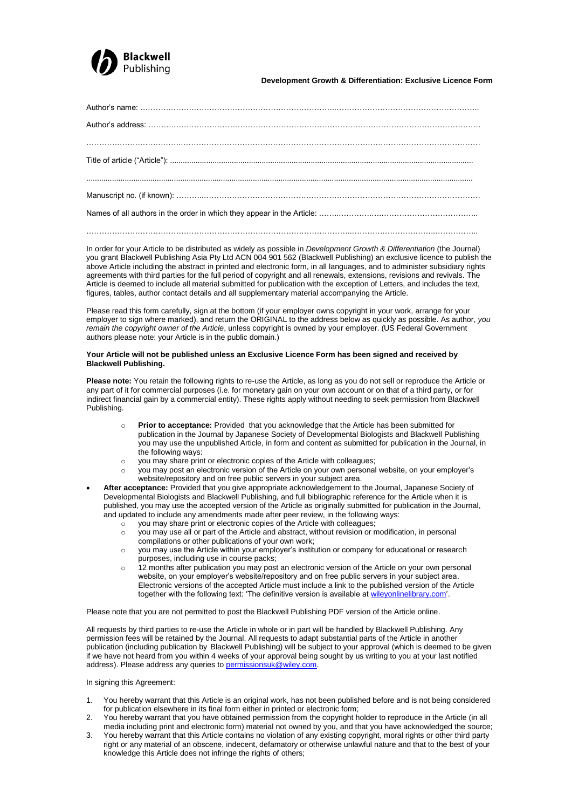

**Development Growth & Differentiation: Exclusive Licence Form**

In order for your Article to be distributed as widely as possible in *Development Growth & Differentiation* (the Journal) you grant Blackwell Publishing Asia Pty Ltd ACN 004 901 562 (Blackwell Publishing) an exclusive licence to publish the above Article including the abstract in printed and electronic form, in all languages, and to administer subsidiary rights agreements with third parties for the full period of copyright and all renewals, extensions, revisions and revivals. The Article is deemed to include all material submitted for publication with the exception of Letters, and includes the text, figures, tables, author contact details and all supplementary material accompanying the Article.

…………………………………………………………………………………………..………….………………..……………..

Please read this form carefully, sign at the bottom (if your employer owns copyright in your work, arrange for your employer to sign where marked), and return the ORIGINAL to the address below as quickly as possible. As author, *you remain the copyright owner of the Article*, unless copyright is owned by your employer. (US Federal Government authors please note: your Article is in the public domain.)

## **Your Article will not be published unless an Exclusive Licence Form has been signed and received by Blackwell Publishing.**

**Please note:** You retain the following rights to re-use the Article, as long as you do not sell or reproduce the Article or any part of it for commercial purposes (i.e. for monetary gain on your own account or on that of a third party, or for indirect financial gain by a commercial entity). These rights apply without needing to seek permission from Blackwell Publishing.

- o **Prior to acceptance:** Provided that you acknowledge that the Article has been submitted for publication in the Journal by Japanese Society of Developmental Biologists and Blackwell Publishing you may use the unpublished Article, in form and content as submitted for publication in the Journal, in the following ways:
- o you may share print or electronic copies of the Article with colleagues;
- you may post an electronic version of the Article on your own personal website, on your employer's website/repository and on free public servers in your subject area.
- **After acceptance:** Provided that you give appropriate acknowledgement to the Journal, Japanese Society of Developmental Biologists and Blackwell Publishing, and full bibliographic reference for the Article when it is published, you may use the accepted version of the Article as originally submitted for publication in the Journal, and updated to include any amendments made after peer review, in the following ways:
	- you may share print or electronic copies of the Article with colleagues;
	- o you may use all or part of the Article and abstract, without revision or modification, in personal compilations or other publications of your own work;
	- you may use the Article within your employer's institution or company for educational or research purposes, including use in course packs;
	- o 12 months after publication you may post an electronic version of the Article on your own personal website, on your employer"s website/repository and on free public servers in your subject area. Electronic versions of the accepted Article must include a link to the published version of the Article together with the following text: "The definitive version is available at [wileyonlinelibrary.com".](http://www.wileyonlinelibrary.com/)

Please note that you are not permitted to post the Blackwell Publishing PDF version of the Article online.

All requests by third parties to re-use the Article in whole or in part will be handled by Blackwell Publishing. Any permission fees will be retained by the Journal. All requests to adapt substantial parts of the Article in another publication (including publication by Blackwell Publishing) will be subject to your approval (which is deemed to be given if we have not heard from you within 4 weeks of your approval being sought by us writing to you at your last notified address). Please address any queries to **permissionsuk@wiley.com**.

In signing this Agreement:

- 1. You hereby warrant that this Article is an original work, has not been published before and is not being considered for publication elsewhere in its final form either in printed or electronic form;
- 2. You hereby warrant that you have obtained permission from the copyright holder to reproduce in the Article (in all media including print and electronic form) material not owned by you, and that you have acknowledged the source;
- 3. You hereby warrant that this Article contains no violation of any existing copyright, moral rights or other third party right or any material of an obscene, indecent, defamatory or otherwise unlawful nature and that to the best of your knowledge this Article does not infringe the rights of others;